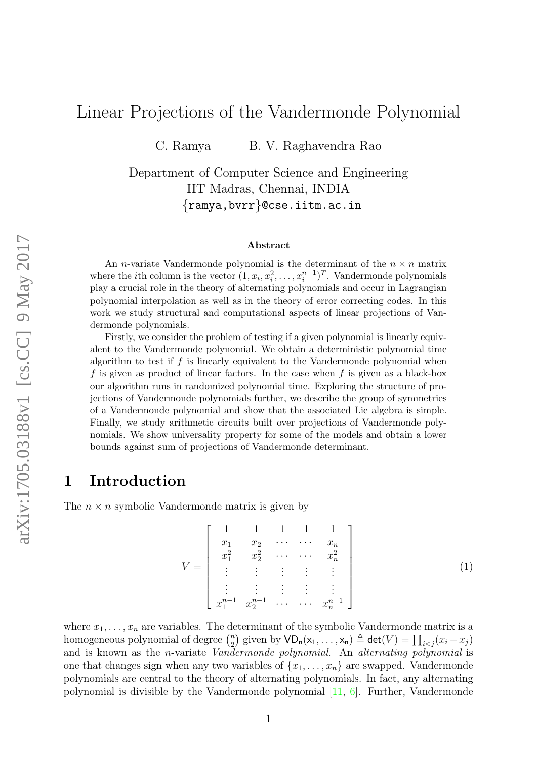# <span id="page-0-1"></span>Linear Projections of the Vandermonde Polynomial

C. Ramya B. V. Raghavendra Rao

Department of Computer Science and Engineering IIT Madras, Chennai, INDIA {ramya,bvrr}@cse.iitm.ac.in

#### Abstract

An *n*-variate Vandermonde polynomial is the determinant of the  $n \times n$  matrix where the *i*th column is the vector  $(1, x_i, x_i^2, \ldots, x_i^{n-1})^T$ . Vandermonde polynomials play a crucial role in the theory of alternating polynomials and occur in Lagrangian polynomial interpolation as well as in the theory of error correcting codes. In this work we study structural and computational aspects of linear projections of Vandermonde polynomials.

Firstly, we consider the problem of testing if a given polynomial is linearly equivalent to the Vandermonde polynomial. We obtain a deterministic polynomial time algorithm to test if  $f$  is linearly equivalent to the Vandermonde polynomial when f is given as product of linear factors. In the case when f is given as a black-box our algorithm runs in randomized polynomial time. Exploring the structure of projections of Vandermonde polynomials further, we describe the group of symmetries of a Vandermonde polynomial and show that the associated Lie algebra is simple. Finally, we study arithmetic circuits built over projections of Vandermonde polynomials. We show universality property for some of the models and obtain a lower bounds against sum of projections of Vandermonde determinant.

## <span id="page-0-0"></span>1 Introduction

The  $n \times n$  symbolic Vandermonde matrix is given by

$$
V = \begin{bmatrix} 1 & 1 & 1 & 1 & 1 \\ x_1 & x_2 & \cdots & \cdots & x_n \\ x_1^2 & x_2^2 & \cdots & \cdots & x_n^2 \\ \vdots & \vdots & \vdots & \vdots & \vdots \\ x_1^{n-1} & x_2^{n-1} & \cdots & \cdots & x_n^{n-1} \end{bmatrix}
$$
(1)

where  $x_1, \ldots, x_n$  are variables. The determinant of the symbolic Vandermonde matrix is a homogeneous polynomial of degree  $\binom{n}{2}$  $\binom{n}{2}$  given by  $\mathsf{VD}_{\mathsf{n}}(\mathsf{x}_1,\ldots,\mathsf{x}_{\mathsf{n}}) \triangleq \mathsf{det}(V) = \prod_{i < j} (x_i - x_j)$ and is known as the n-variate Vandermonde polynomial. An alternating polynomial is one that changes sign when any two variables of  $\{x_1, \ldots, x_n\}$  are swapped. Vandermonde polynomials are central to the theory of alternating polynomials. In fact, any alternating polynomial is divisible by the Vandermonde polynomial [\[11,](#page-14-0) [6\]](#page-14-1). Further, Vandermonde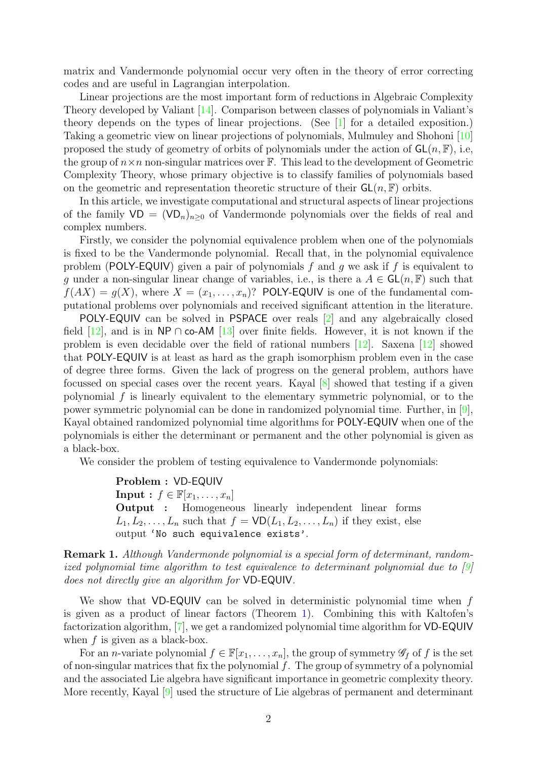matrix and Vandermonde polynomial occur very often in the theory of error correcting codes and are useful in Lagrangian interpolation.

Linear projections are the most important form of reductions in Algebraic Complexity Theory developed by Valiant [\[14\]](#page-14-2). Comparison between classes of polynomials in Valiant's theory depends on the types of linear projections. (See [\[1\]](#page-13-0) for a detailed exposition.) Taking a geometric view on linear projections of polynomials, Mulmuley and Shohoni [\[10\]](#page-14-3) proposed the study of geometry of orbits of polynomials under the action of  $GL(n, \mathbb{F})$ , i.e, the group of  $n \times n$  non-singular matrices over  $\mathbb{F}$ . This lead to the development of Geometric Complexity Theory, whose primary objective is to classify families of polynomials based on the geometric and representation theoretic structure of their  $GL(n, F)$  orbits.

In this article, we investigate computational and structural aspects of linear projections of the family  $VD = (VD_n)_{n>0}$  of Vandermonde polynomials over the fields of real and complex numbers.

Firstly, we consider the polynomial equivalence problem when one of the polynomials is fixed to be the Vandermonde polynomial. Recall that, in the polynomial equivalence problem (POLY-EQUIV) given a pair of polynomials f and g we ask if f is equivalent to g under a non-singular linear change of variables, i.e., is there a  $A \in GL(n, \mathbb{F})$  such that  $f(AX) = g(X)$ , where  $X = (x_1, \ldots, x_n)$ ? POLY-EQUIV is one of the fundamental computational problems over polynomials and received significant attention in the literature.

POLY-EQUIV can be solved in PSPACE over reals [\[2\]](#page-13-1) and any algebraically closed field [\[12\]](#page-14-4), and is in NP ∩ co-AM [\[13\]](#page-14-5) over finite fields. However, it is not known if the problem is even decidable over the field of rational numbers [\[12\]](#page-14-4). Saxena [\[12\]](#page-14-4) showed that POLY-EQUIV is at least as hard as the graph isomorphism problem even in the case of degree three forms. Given the lack of progress on the general problem, authors have focussed on special cases over the recent years. Kayal [\[8\]](#page-14-6) showed that testing if a given polynomial f is linearly equivalent to the elementary symmetric polynomial, or to the power symmetric polynomial can be done in randomized polynomial time. Further, in [\[9\]](#page-14-7), Kayal obtained randomized polynomial time algorithms for POLY-EQUIV when one of the polynomials is either the determinant or permanent and the other polynomial is given as a black-box.

We consider the problem of testing equivalence to Vandermonde polynomials:

Problem : VD-EQUIV **Input :**  $f \in \mathbb{F}[x_1, \ldots, x_n]$ Output : Homogeneous linearly independent linear forms  $L_1, L_2, \ldots, L_n$  such that  $f = \text{VD}(L_1, L_2, \ldots, L_n)$  if they exist, else output 'No such equivalence exists'.

Remark 1. Although Vandermonde polynomial is a special form of determinant, randomized polynomial time algorithm to test equivalence to determinant polynomial due to [\[9\]](#page-14-7) does not directly give an algorithm for VD-EQUIV.

We show that  $VD$ -EQUIV can be solved in deterministic polynomial time when f is given as a product of linear factors (Theorem [1\)](#page-3-0). Combining this with Kaltofen's factorization algorithm, [\[7\]](#page-14-8), we get a randomized polynomial time algorithm for VD-EQUIV when  $f$  is given as a black-box.

For an *n*-variate polynomial  $f \in \mathbb{F}[x_1, \ldots, x_n]$ , the group of symmetry  $\mathscr{G}_f$  of f is the set of non-singular matrices that fix the polynomial f. The group of symmetry of a polynomial and the associated Lie algebra have significant importance in geometric complexity theory. More recently, Kayal [\[9\]](#page-14-7) used the structure of Lie algebras of permanent and determinant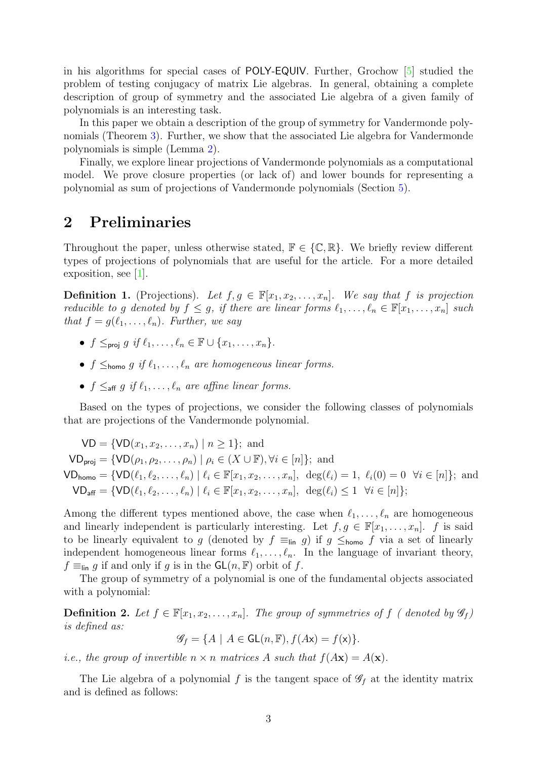in his algorithms for special cases of POLY-EQUIV. Further, Grochow [\[5\]](#page-14-9) studied the problem of testing conjugacy of matrix Lie algebras. In general, obtaining a complete description of group of symmetry and the associated Lie algebra of a given family of polynomials is an interesting task.

In this paper we obtain a description of the group of symmetry for Vandermonde polynomials (Theorem [3\)](#page-6-0). Further, we show that the associated Lie algebra for Vandermonde polynomials is simple (Lemma [2\)](#page-8-0).

Finally, we explore linear projections of Vandermonde polynomials as a computational model. We prove closure properties (or lack of) and lower bounds for representing a polynomial as sum of projections of Vandermonde polynomials (Section [5\)](#page-9-0).

## <span id="page-2-0"></span>2 Preliminaries

Throughout the paper, unless otherwise stated,  $\mathbb{F} \in \{\mathbb{C}, \mathbb{R}\}.$  We briefly review different types of projections of polynomials that are useful for the article. For a more detailed exposition, see [\[1\]](#page-13-0).

**Definition 1.** (Projections). Let  $f, g \in \mathbb{F}[x_1, x_2, \ldots, x_n]$ . We say that f is projection reducible to g denoted by  $f \leq g$ , if there are linear forms  $\ell_1, \ldots, \ell_n \in \mathbb{F}[x_1, \ldots, x_n]$  such that  $f = g(\ell_1, \ldots, \ell_n)$ . Further, we say

- $f \leq_{proj} q \text{ if } \ell_1, \ldots, \ell_n \in \mathbb{F} \cup \{x_1, \ldots, x_n\}.$
- $f \leq_{\text{homo}} q$  if  $\ell_1, \ldots, \ell_n$  are homogeneous linear forms.
- $f \leq_{\text{aff}} g \text{ if } \ell_1, \ldots, \ell_n \text{ are affine linear forms.}$

Based on the types of projections, we consider the following classes of polynomials that are projections of the Vandermonde polynomial.

$$
VD = \{VD(x_1, x_2, ..., x_n) \mid n \ge 1\}; \text{ and}
$$
  
\n
$$
VD_{\text{proj}} = \{VD(\rho_1, \rho_2, ..., \rho_n) \mid \rho_i \in (X \cup \mathbb{F}), \forall i \in [n]\}; \text{ and}
$$
  
\n
$$
VD_{\text{homo}} = \{VD(\ell_1, \ell_2, ..., \ell_n) \mid \ell_i \in \mathbb{F}[x_1, x_2, ..., x_n], \deg(\ell_i) = 1, \ell_i(0) = 0 \forall i \in [n]\}; \text{ and}
$$
  
\n
$$
VD_{\text{aff}} = \{VD(\ell_1, \ell_2, ..., \ell_n) \mid \ell_i \in \mathbb{F}[x_1, x_2, ..., x_n], \deg(\ell_i) \le 1 \forall i \in [n]\};
$$

Among the different types mentioned above, the case when  $\ell_1, \ldots, \ell_n$  are homogeneous and linearly independent is particularly interesting. Let  $f, g \in \mathbb{F}[x_1, \ldots, x_n]$ . f is said to be linearly equivalent to g (denoted by  $f \equiv_{\text{lin}} g$ ) if  $g \leq_{\text{homo}} f$  via a set of linearly independent homogeneous linear forms  $\ell_1, \ldots, \ell_n$ . In the language of invariant theory,  $f \equiv_{\text{lin}} g$  if and only if g is in the  $\mathsf{GL}(n,\mathbb{F})$  orbit of f.

The group of symmetry of a polynomial is one of the fundamental objects associated with a polynomial:

**Definition 2.** Let  $f \in \mathbb{F}[x_1, x_2, \ldots, x_n]$ . The group of symmetries of f (denoted by  $\mathscr{G}_f$ ) is defined as:

 $\mathscr{G}_f = \{A \mid A \in \mathsf{GL}(n, \mathbb{F}), f(A\mathsf{x}) = f(\mathsf{x})\}.$ 

*i.e.*, the group of invertible  $n \times n$  matrices A such that  $f(Ax) = A(x)$ .

The Lie algebra of a polynomial f is the tangent space of  $\mathscr{G}_f$  at the identity matrix and is defined as follows: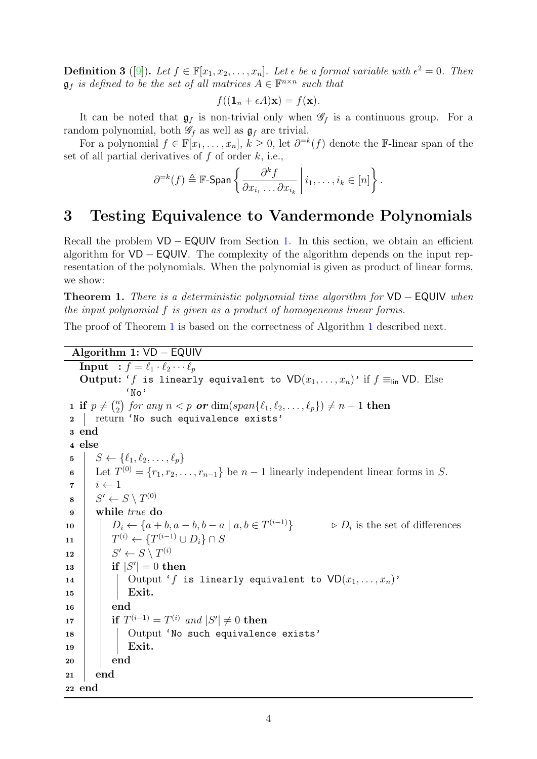**Definition 3** ([\[9\]](#page-14-7)). Let  $f \in \mathbb{F}[x_1, x_2, \ldots, x_n]$ . Let  $\epsilon$  be a formal variable with  $\epsilon^2 = 0$ . Then  $\mathfrak{g}_f$  is defined to be the set of all matrices  $A \in \mathbb{F}^{n \times n}$  such that

$$
f((\mathbf{1}_n + \epsilon A)\mathbf{x}) = f(\mathbf{x}).
$$

It can be noted that  $\mathfrak{g}_f$  is non-trivial only when  $\mathscr{G}_f$  is a continuous group. For a random polynomial, both  $\mathscr{G}_f$  as well as  $\mathfrak{g}_f$  are trivial.

For a polynomial  $f \in \mathbb{F}[x_1, \ldots, x_n], k \geq 0$ , let  $\partial^{=k}(f)$  denote the F-linear span of the set of all partial derivatives of  $f$  of order  $k$ , i.e.,

$$
\partial^{=k}(f) \triangleq \mathbb{F}\text{-Span}\left\{\frac{\partial^k f}{\partial x_{i_1} \dots \partial x_{i_k}} \middle| i_1, \dots, i_k \in [n] \right\}.
$$

## 3 Testing Equivalence to Vandermonde Polynomials

Recall the problem  $VD$  − EQUIV from Section [1.](#page-0-0) In this section, we obtain an efficient algorithm for VD − EQUIV. The complexity of the algorithm depends on the input representation of the polynomials. When the polynomial is given as product of linear forms, we show:

<span id="page-3-0"></span>**Theorem 1.** There is a deterministic polynomial time algorithm for  $VD - EQUIV$  when the input polynomial f is given as a product of homogeneous linear forms.

The proof of Theorem [1](#page-3-0) is based on the correctness of Algorithm [1](#page-3-1) described next.

```
Algorithm 1: VD − EQUIV
```

```
Input : f = \ell_1 \cdot \ell_2 \cdots \ell_pOutput: 'f is linearly equivalent to VD(x_1, \ldots, x_n)' if f \equiv_{\text{lin}} VP. Else
                  'No'
 1 if p \neq {n \choose 2}\binom{n}{2} for any n < p or \dim(\overline{span{\ell_1, \ell_2, \ldots, \ell_p\}}) \neq n - 1 then
 2 | return 'No such equivalence exists'
 3 end
 4 else
 5 \mid S \leftarrow \{\ell_1, \ell_2, \ldots, \ell_p\}6 Let T^{(0)} = \{r_1, r_2, \ldots, r_{n-1}\} be n-1 linearly independent linear forms in S.
 \tau \mid i \leftarrow 1\begin{array}{c} \mathbf{8} \end{array} S' \leftarrow S \setminus T^{(0)}9 while true do
10 \left| \begin{array}{c} | \end{array} \right| D_i \leftarrow \{a+b, a-b, b-a \mid a, b \in T^{(i-1)}\} \triangleright D_i is the set of differences
11 T^{(i)} \leftarrow \{T^{(i-1)} \cup D_i\} \cap S12\gamma' \leftarrow S \setminus T^{(i)}13 if |S
0
| = 0 then
14 | | Output 'f is linearly equivalent to VD(x_1, \ldots, x_n)'
15 | | Exit.
16 end
\begin{array}{ll} \textbf{17} \quad | \quad \textbf{if} \,\, T^{(i-1)} = T^{(i)} \,\,\, and \,\, |S'| \neq 0 \,\, \textbf{then} \end{array}18 | | Output 'No such equivalence exists'
19 | | Exit.
20 | end
21 end
22 end
```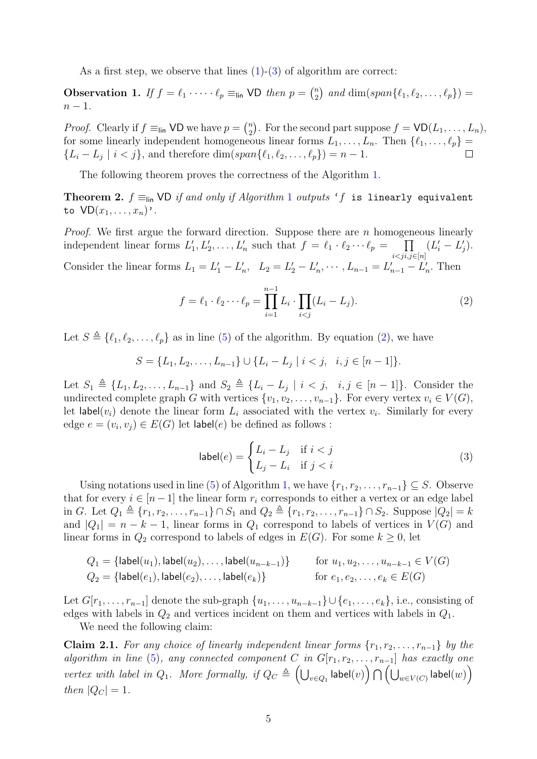As a first step, we observe that lines  $(1)-(3)$  $(1)-(3)$  $(1)-(3)$  of algorithm are correct:

**Observation 1.** If  $f = \ell_1 \cdot \cdots \cdot \ell_p \equiv_{\text{lin}} \text{VD}$  then  $p = \binom{n}{2}$  $e_2^n$ ) and dim(span{ $\ell_1, \ell_2, ..., \ell_p$ }) =  $n-1$ .

*Proof.* Clearly if  $f \equiv_{\text{lin}} \text{VD}$  we have  $p = \binom{n}{2}$  $n_2$ . For the second part suppose  $f = \text{VD}(L_1, \ldots, L_n)$ , for some linearly independent homogeneous linear forms  $L_1, \ldots, L_n$ . Then  $\{\ell_1, \ldots, \ell_p\} = \{L_i - L_i \mid i < j\}$ , and therefore dim(span $\{\ell_1, \ell_2, \ldots, \ell_n\} = n - 1$ .  $\{L_i - L_j \mid i < j\}$ , and therefore  $\dim(\text{span}\{\ell_1, \ell_2, \ldots, \ell_p\}) = n - 1$ .

The following theorem proves the correctness of the Algorithm [1.](#page-3-1)

Theorem 2.  $f \equiv_{\text{lin}}$  VD if and only if Algorithm [1](#page-3-1) outputs 'f is linearly equivalent to  $VD(x_1, \ldots, x_n)$ .

*Proof.* We first argue the forward direction. Suppose there are n homogeneous linearly independent linear forms  $L'_1, L'_2, \ldots, L'_n$  such that  $f = \ell_1 \cdot \ell_2 \cdots \ell_p = \prod_{i=1}^p$  $i$  $(L'_i - L'_j).$ Consider the linear forms  $L_1 = L'_1 - L'_n$ ,  $L_2 = L'_2 - L'_n$ ,  $\cdots$ ,  $L_{n-1} = L'_{n-1} - L'_n$ . Then

<span id="page-4-0"></span>
$$
f = \ell_1 \cdot \ell_2 \cdots \ell_p = \prod_{i=1}^{n-1} L_i \cdot \prod_{i < j} (L_i - L_j). \tag{2}
$$

Let  $S \triangleq \{\ell_1, \ell_2, \ldots, \ell_p\}$  as in line [\(5\)](#page-3-3) of the algorithm. By equation [\(2\)](#page-4-0), we have

$$
S = \{L_1, L_2, \dots, L_{n-1}\} \cup \{L_i - L_j \mid i < j, \ \ i, j \in [n-1]\}.
$$

Let  $S_1 \triangleq \{L_1, L_2, \ldots, L_{n-1}\}$  and  $S_2 \triangleq \{L_i - L_j \mid i < j, \ i, j \in [n-1]\}$ . Consider the undirected complete graph G with vertices  $\{v_1, v_2, \ldots, v_{n-1}\}$ . For every vertex  $v_i \in V(G)$ , let label $(v_i)$  denote the linear form  $L_i$  associated with the vertex  $v_i$ . Similarly for every edge  $e = (v_i, v_j) \in E(G)$  let label $(e)$  be defined as follows :

<span id="page-4-2"></span>
$$
label(e) = \begin{cases} L_i - L_j & \text{if } i < j \\ L_j - L_i & \text{if } j < i \end{cases}
$$
 (3)

Using notations used in line [\(5\)](#page-3-3) of Algorithm [1,](#page-3-1) we have  $\{r_1, r_2, \ldots, r_{n-1}\} \subseteq S$ . Observe that for every  $i \in [n-1]$  the linear form  $r_i$  corresponds to either a vertex or an edge label in G. Let  $Q_1 \triangleq \{r_1, r_2, \ldots, r_{n-1}\} \cap S_1$  and  $Q_2 \triangleq \{r_1, r_2, \ldots, r_{n-1}\} \cap S_2$ . Suppose  $|Q_2| = k$ and  $|Q_1| = n - k - 1$ , linear forms in  $Q_1$  correspond to labels of vertices in  $V(G)$  and linear forms in  $Q_2$  correspond to labels of edges in  $E(G)$ . For some  $k \geq 0$ , let

$$
Q_1 = \{ \text{label}(u_1), \text{label}(u_2), \dots, \text{label}(u_{n-k-1}) \} \quad \text{for } u_1, u_2, \dots, u_{n-k-1} \in V(G)
$$
\n
$$
Q_2 = \{ \text{label}(e_1), \text{label}(e_2), \dots, \text{label}(e_k) \}
$$
\n
$$
\quad \text{for } e_1, e_2, \dots, e_k \in E(G)
$$

Let  $G[r_1, \ldots, r_{n-1}]$  denote the sub-graph  $\{u_1, \ldots, u_{n-k-1}\} \cup \{e_1, \ldots, e_k\}$ , i.e., consisting of edges with labels in  $Q_2$  and vertices incident on them and vertices with labels in  $Q_1$ .

We need the following claim:

<span id="page-4-1"></span>**Claim 2.1.** For any choice of linearly independent linear forms  $\{r_1, r_2, \ldots, r_{n-1}\}\$  by the algorithm in line [\(5\)](#page-3-3), any connected component C in  $G[r_1, r_2, \ldots, r_{n-1}]$  has exactly one  $\emph{vertex with label in $Q_1$. More formally, if $Q_C \triangleq \bigcup_{v \in Q_1} \mathsf{label}(v) \bigcap \bigcup_{w \in V(C)} \mathsf{label}(w)\big)}$ then  $|Q_C| = 1$ .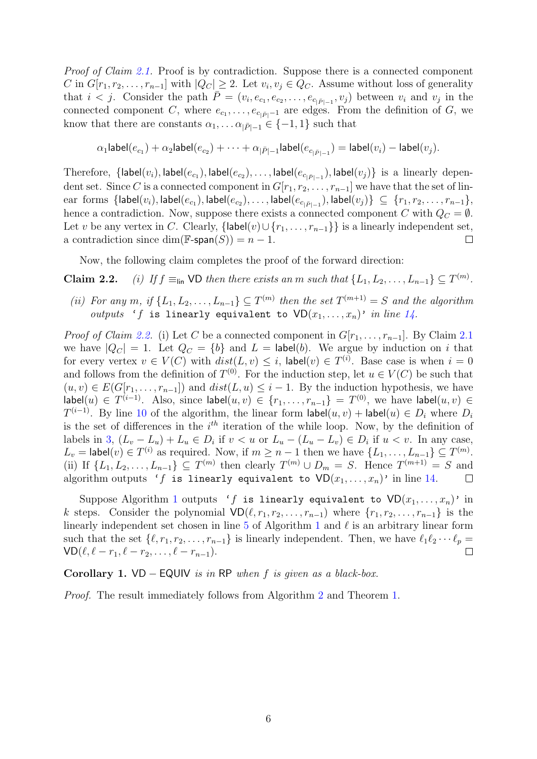Proof of Claim [2.1.](#page-4-1) Proof is by contradiction. Suppose there is a connected component C in  $G[r_1, r_2, \ldots, r_{n-1}]$  with  $|Q_C| \geq 2$ . Let  $v_i, v_j \in Q_C$ . Assume without loss of generality that  $i < j$ . Consider the path  $\overline{P} = (v_i, e_{c_1}, e_{c_2}, \ldots, e_{c_{|\overline{P}|-1}}, v_j)$  between  $v_i$  and  $v_j$  in the connected component C, where  $e_{c_1}, \ldots, e_{c_{|\bar{P}|-1}}$  are edges. From the definition of G, we know that there are constants  $\alpha_1, \ldots, \alpha_{|\bar{P}|-1} \in \{-1, 1\}$  such that

$$
\alpha_1\mathsf{label}(e_{c_1}) + \alpha_2 \mathsf{label}(e_{c_2}) + \cdots + \alpha_{|\bar{P}|-1} \mathsf{label}(e_{c_{|\bar{P}|-1}}) = \mathsf{label}(v_i) - \mathsf{label}(v_j).
$$

Therefore,  $\{\textsf{label}(e_{c_1}), \textsf{label}(e_{c_2}), \ldots, \textsf{label}(e_{c_{|\bar{P}|-1}}), \textsf{label}(v_j)\}$  is a linearly dependent set. Since C is a connected component in  $G[r_1, r_2, \ldots, r_{n-1}]$  we have that the set of lin- $\mathrm{ear}~\operatorname{forms}~\{\mathsf{label}}(e_{c_1}), \mathsf{label}(e_{c_2}),\ldots,\mathsf{label}(e_{c_{|\bar{P}|-1}}), \mathsf{label}(v_j)\}$   $\subseteq~\{r_1,r_2,\ldots,r_{n-1}\},$ hence a contradiction. Now, suppose there exists a connected component C with  $Q_C = \emptyset$ . Let v be any vertex in C. Clearly, {label(v)∪{ $r_1, ..., r_{n-1}$ } is a linearly independent set, a contradiction since dim( $\mathbb{F}\text{-span}(S)$ ) =  $n-1$ . a contradiction since  $dim(\mathbb{F}\text{-span}(S)) = n - 1$ .

Now, the following claim completes the proof of the forward direction:

**Claim 2.2.** (i) If  $f \equiv_{\text{lin}} \text{VD}$  then there exists an m such that  $\{L_1, L_2, \ldots, L_{n-1}\} \subseteq T^{(m)}$ .

(ii) For any m, if  $\{L_1, L_2, \ldots, L_{n-1}\} \subseteq T^{(m)}$  then the set  $T^{(m+1)} = S$  and the algorithm outputs 'f is linearly equivalent to  $VD(x_1, \ldots, x_n)$ ' in line [14.](#page-3-4)

*Proof of Claim [2.2.](#page-0-1)* (i) Let C be a connected component in  $G[r_1, \ldots, r_{n-1}]$ . By Claim [2.1](#page-4-1) we have  $|Q_C| = 1$ . Let  $Q_C = \{b\}$  and  $L = \text{label}(b)$ . We argue by induction on i that for every vertex  $v \in V(C)$  with  $dist(L, v) \leq i$ , label $(v) \in T^{(i)}$ . Base case is when  $i = 0$ and follows from the definition of  $T^{(0)}$ . For the induction step, let  $u \in V(C)$  be such that  $(u, v) \in E(G[r_1, \ldots, r_{n-1}])$  and  $dist(L, u) \leq i - 1$ . By the induction hypothesis, we have  $\mathsf{label}(u) \in T^{(i-1)}$ . Also, since  $\mathsf{label}(u, v) \in \{r_1, \ldots, r_{n-1}\} = T^{(0)}$ , we have  $\mathsf{label}(u, v) \in T^{(i-1)}$ .  $T^{(i-1)}$ . By line [10](#page-3-5) of the algorithm, the linear form  $\mathsf{label}(u, v) + \mathsf{label}(u) \in D_i$  where  $D_i$ is the set of differences in the  $i<sup>th</sup>$  iteration of the while loop. Now, by the definition of labels in [3,](#page-4-2)  $(L_v - L_u) + L_u \in D_i$  if  $v < u$  or  $L_u - (L_u - L_v) \in D_i$  if  $u < v$ . In any case,  $L_v = \textsf{label}(v) \in T^{(i)}$  as required. Now, if  $m \geq n-1$  then we have  $\{L_1, \ldots, L_{n-1}\} \subseteq T^{(m)}$ . (ii) If  $\{L_1, L_2, \ldots, L_{n-1}\} \subseteq T^{(m)}$  then clearly  $T^{(m)} \cup D_m = S$ . Hence  $T^{(m+1)} = S$  and algorithm outputs 'f is linearly equivalent to  $VD(x_1, \ldots, x_n)$ ' in line [14.](#page-3-4)  $\Box$ 

Suppose Algorithm [1](#page-3-1) outputs 'f is linearly equivalent to  $VD(x_1, \ldots, x_n)$ ' in k steps. Consider the polynomial  $VD(\ell, r_1, r_2, \ldots, r_{n-1})$  where  $\{r_1, r_2, \ldots, r_{n-1}\}$  is the linearly independent set chosen in line [5](#page-3-3) of Algorithm [1](#page-3-1) and  $\ell$  is an arbitrary linear form such that the set  $\{\ell, r_1, r_2, \ldots, r_{n-1}\}$  is linearly independent. Then, we have  $\ell_1\ell_2 \cdots \ell_p = \text{VD}(\ell, \ell - r_1, \ell - r_2, \ldots, \ell - r_{n-1})$ .  $VD(\ell, \ell - r_1, \ell - r_2, \ldots, \ell - r_{n-1}).$ 

Corollary 1. VD – EQUIV is in RP when f is given as a black-box.

Proof. The result immediately follows from Algorithm [2](#page-6-1) and Theorem [1.](#page-3-0)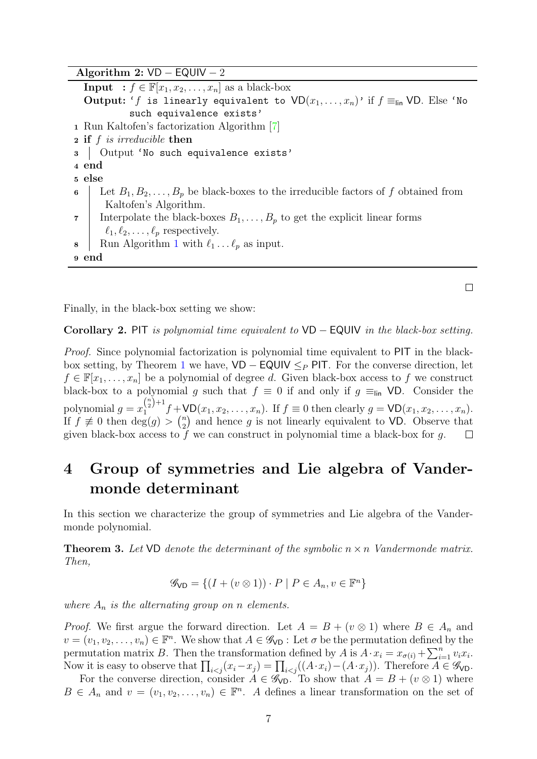<span id="page-6-1"></span>Algorithm 2:  $VD$  – EQUIV – 2 **Input** :  $f \in \mathbb{F}[x_1, x_2, \ldots, x_n]$  as a black-box Output: 'f is linearly equivalent to  $VD(x_1, \ldots, x_n)$ ' if  $f \equiv_{\text{lin}} VP$ . Else 'No such equivalence exists' <sup>1</sup> Run Kaltofen's factorization Algorithm [\[7\]](#page-14-8) <sup>2</sup> if f is irreducible then 3 | Output 'No such equivalence exists' <sup>4</sup> end <sup>5</sup> else 6 Let  $B_1, B_2, \ldots, B_p$  be black-boxes to the irreducible factors of f obtained from Kaltofen's Algorithm. 7 Interpolate the black-boxes  $B_1, \ldots, B_p$  to get the explicit linear forms  $\ell_1, \ell_2, \ldots, \ell_p$  respectively. 8 | Run Algorithm [1](#page-3-1) with  $\ell_1 \ldots \ell_p$  as input. <sup>9</sup> end

Finally, in the black-box setting we show:

Corollary 2. PIT is polynomial time equivalent to  $VD$  – EQUIV in the black-box setting.

 $\Box$ 

Proof. Since polynomial factorization is polynomial time equivalent to PIT in the black-box setting, by Theorem [1](#page-3-0) we have,  $VD - EQUIV \leq_P PIT$ . For the converse direction, let  $f \in \mathbb{F}[x_1,\ldots,x_n]$  be a polynomial of degree d. Given black-box access to f we construct black-box to a polynomial g such that  $f \equiv 0$  if and only if  $g \equiv_{\text{lin}} \text{VD}$ . Consider the polynomial  $g = x_1^{\binom{n}{2}+1}$  $f_1^{(2) + 1} f + \text{VD}(x_1, x_2, \ldots, x_n)$ . If  $f \equiv 0$  then clearly  $g = \text{VD}(x_1, x_2, \ldots, x_n)$ . If  $f \not\equiv 0$  then  $\deg(g) > {n \choose 2}$  $n_2$ ) and hence g is not linearly equivalent to VD. Observe that given black-box access to  $f$  we can construct in polynomial time a black-box for  $g$ .  $\Box$ 

# 4 Group of symmetries and Lie algebra of Vandermonde determinant

In this section we characterize the group of symmetries and Lie algebra of the Vandermonde polynomial.

<span id="page-6-0"></span>**Theorem 3.** Let  $VD$  denote the determinant of the symbolic  $n \times n$  Vandermonde matrix. Then,

$$
\mathcal{G}_{\text{VD}} = \{ (I + (v \otimes 1)) \cdot P \mid P \in A_n, v \in \mathbb{F}^n \}
$$

where  $A_n$  is the alternating group on n elements.

*Proof.* We first argue the forward direction. Let  $A = B + (v \otimes 1)$  where  $B \in A_n$  and  $v = (v_1, v_2, \dots, v_n) \in \mathbb{F}^n$ . We show that  $A \in \mathscr{G}_{\mathsf{VD}}$ : Let  $\sigma$  be the permutation defined by the permutation matrix B. Then the transformation defined by A is  $A \cdot x_i = x_{\sigma(i)} + \sum_{i=1}^n v_i x_i$ . Now it is easy to observe that  $\prod_{i < j} (x_i - x_j) = \prod_{i < j} ((A \cdot x_i) - (A \cdot x_j))$ . Therefore  $A \in \mathscr{G}_{\mathsf{VD}}$ .

For the converse direction, consider  $A \in \mathscr{G}_{\text{VD}}$ . To show that  $A = B + (v \otimes 1)$  where  $B \in A_n$  and  $v = (v_1, v_2, \dots, v_n) \in \mathbb{F}^n$ . A defines a linear transformation on the set of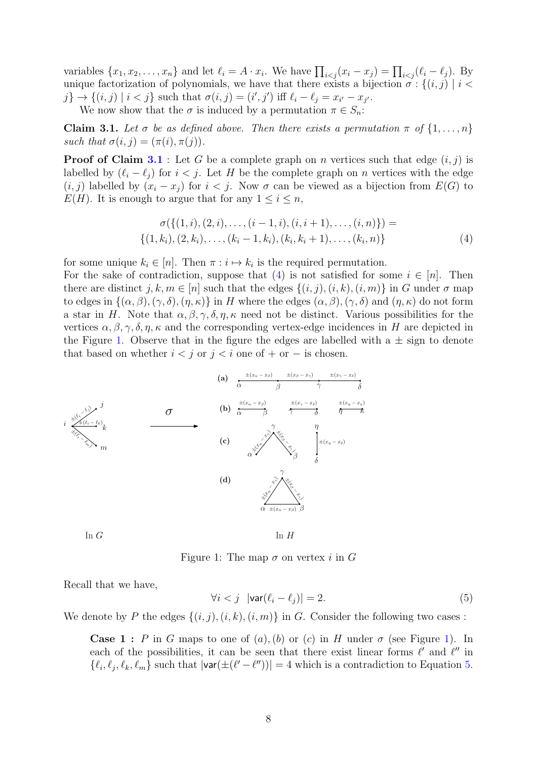variables  $\{x_1, x_2, \ldots, x_n\}$  and let  $\ell_i = A \cdot x_i$ . We have  $\prod_{i < j} (x_i - x_j) = \prod_{i < j} (\ell_i - \ell_j)$ . By unique factorization of polynomials, we have that there exists a bijection  $\sigma : \{(i, j) \mid i <$  $j\} \rightarrow \{(i,j) \mid i < j\}$  such that  $\sigma(i,j) = (i',j')$  iff  $\ell_i - \ell_j = x_{i'} - x_{j'}$ .

We now show that the  $\sigma$  is induced by a permutation  $\pi \in S_n$ :

<span id="page-7-0"></span>**Claim 3.1.** Let  $\sigma$  be as defined above. Then there exists a permutation  $\pi$  of  $\{1, \ldots, n\}$ such that  $\sigma(i, j) = (\pi(i), \pi(j)).$ 

**Proof of Claim [3.1](#page-7-0)** : Let G be a complete graph on n vertices such that edge  $(i, j)$  is labelled by  $(\ell_i - \ell_j)$  for  $i < j$ . Let H be the complete graph on n vertices with the edge  $(i, j)$  labelled by  $(x_i - x_j)$  for  $i < j$ . Now  $\sigma$  can be viewed as a bijection from  $E(G)$  to  $E(H)$ . It is enough to argue that for any  $1 \leq i \leq n$ ,

<span id="page-7-1"></span>
$$
\sigma(\{(1,i), (2,i), \ldots, (i-1,i), (i,i+1), \ldots, (i,n)\}) = \{(1,k_i), (2,k_i), \ldots, (k_i-1,k_i), (k_i,k_i+1), \ldots, (k_i,n)\}
$$
\n
$$
(4)
$$

for some unique  $k_i \in [n]$ . Then  $\pi : i \mapsto k_i$  is the required permutation.

For the sake of contradiction, suppose that [\(4\)](#page-7-1) is not satisfied for some  $i \in [n]$ . Then there are distinct  $j, k, m \in [n]$  such that the edges  $\{(i, j), (i, k), (i, m)\}\$ in G under  $\sigma$  map to edges in  $\{(\alpha, \beta),(\gamma, \delta),(\eta, \kappa)\}\$ in H where the edges  $(\alpha, \beta),(\gamma, \delta)$  and  $(\eta, \kappa)$  do not form a star in H. Note that  $\alpha, \beta, \gamma, \delta, \eta, \kappa$  need not be distinct. Various possibilities for the vertices  $\alpha, \beta, \gamma, \delta, \eta, \kappa$  and the corresponding vertex-edge incidences in H are depicted in the Figure [1.](#page-7-2) Observe that in the figure the edges are labelled with a  $\pm$  sign to denote that based on whether  $i < j$  or  $j < i$  one of + or − is chosen.



In  $G$  In  $H$ 

<span id="page-7-2"></span>Figure 1: The map  $\sigma$  on vertex i in G

Recall that we have,

<span id="page-7-3"></span>
$$
\forall i < j \quad |\mathsf{var}(\ell_i - \ell_j)| = 2. \tag{5}
$$

We denote by P the edges  $\{(i, j), (i, k), (i, m)\}\$ in G. Consider the following two cases :

**Case 1**: P in G maps to one of  $(a)$ ,  $(b)$  or  $(c)$  in H under  $\sigma$  (see Figure [1\)](#page-7-2). In each of the possibilities, it can be seen that there exist linear forms  $\ell'$  and  $\ell''$  in  $\{\ell_i, \ell_j, \ell_k, \ell_m\}$  such that  $|\text{var}(\pm(\ell'-\ell''))|=4$  which is a contradiction to Equation [5.](#page-7-3)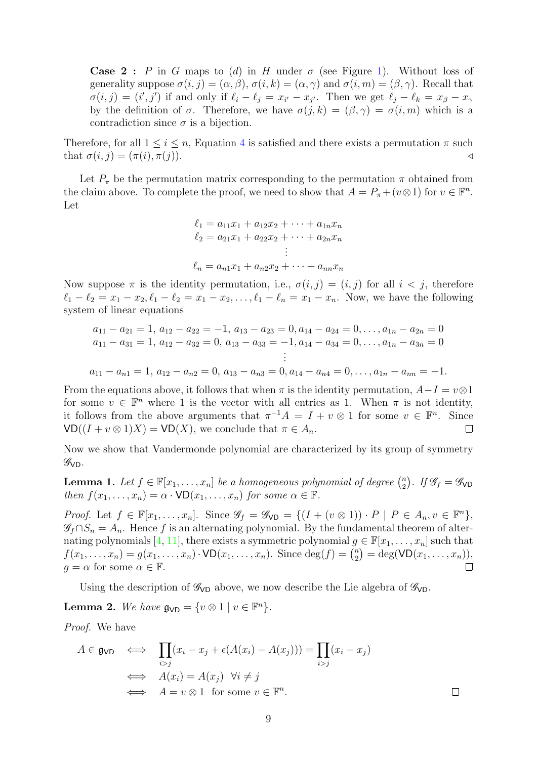**Case 2**: P in G maps to (d) in H under  $\sigma$  (see Figure [1\)](#page-7-2). Without loss of generality suppose  $\sigma(i, j) = (\alpha, \beta), \sigma(i, k) = (\alpha, \gamma)$  and  $\sigma(i, m) = (\beta, \gamma)$ . Recall that  $\sigma(i,j) = (i',j')$  if and only if  $\ell_i - \ell_j = x_{i'} - x_{j'}$ . Then we get  $\ell_j - \ell_k = x_{\beta} - x_{\gamma}$ by the definition of  $\sigma$ . Therefore, we have  $\sigma(j,k) = (\beta, \gamma) = \sigma(i,m)$  which is a contradiction since  $\sigma$  is a bijection.

Therefore, for all  $1 \leq i \leq n$ , Equation [4](#page-7-1) is satisfied and there exists a permutation  $\pi$  such that  $\sigma(i, i) = (\pi(i), \pi(i))$ . that  $\sigma(i, j) = (\pi(i), \pi(j)).$ 

Let  $P_{\pi}$  be the permutation matrix corresponding to the permutation  $\pi$  obtained from the claim above. To complete the proof, we need to show that  $A = P_{\pi} + (v \otimes 1)$  for  $v \in \mathbb{F}^n$ . Let

$$
\ell_1 = a_{11}x_1 + a_{12}x_2 + \dots + a_{1n}x_n
$$
  
\n
$$
\ell_2 = a_{21}x_1 + a_{22}x_2 + \dots + a_{2n}x_n
$$
  
\n
$$
\vdots
$$
  
\n
$$
\ell_n = a_{n1}x_1 + a_{n2}x_2 + \dots + a_{nn}x_n
$$

Now suppose  $\pi$  is the identity permutation, i.e.,  $\sigma(i, j) = (i, j)$  for all  $i < j$ , therefore  $\ell_1 - \ell_2 = x_1 - x_2, \ell_1 - \ell_2 = x_1 - x_2, \ldots, \ell_1 - \ell_n = x_1 - x_n$ . Now, we have the following system of linear equations

$$
a_{11} - a_{21} = 1, a_{12} - a_{22} = -1, a_{13} - a_{23} = 0, a_{14} - a_{24} = 0, \dots, a_{1n} - a_{2n} = 0
$$
  
\n
$$
a_{11} - a_{31} = 1, a_{12} - a_{32} = 0, a_{13} - a_{33} = -1, a_{14} - a_{34} = 0, \dots, a_{1n} - a_{3n} = 0
$$
  
\n
$$
\vdots
$$
  
\n
$$
a_{11} - a_{n1} = 1, a_{12} - a_{n2} = 0, a_{13} - a_{n3} = 0, a_{14} - a_{n4} = 0, \dots, a_{1n} - a_{nn} = -1.
$$

From the equations above, it follows that when  $\pi$  is the identity permutation,  $A-I = v \otimes 1$ for some  $v \in \mathbb{F}^n$  where 1 is the vector with all entries as 1. When  $\pi$  is not identity, it follows from the above arguments that  $\pi^{-1}A = I + v \otimes 1$  for some  $v \in \mathbb{F}^n$ . Since  $VD((I + v \otimes 1)X) = VD(X)$ , we conclude that  $\pi \in A_n$ .  $\Box$ 

Now we show that Vandermonde polynomial are characterized by its group of symmetry  $\mathscr{G}_{\text{VD}}$ .

**Lemma 1.** Let  $f \in \mathbb{F}[x_1, \ldots, x_n]$  be a homogeneous polynomial of degree  $\binom{n}{2}$  $\binom{n}{2}$ . If  $\mathscr{G}_f = \mathscr{G}_{\text{VD}}$ then  $f(x_1, \ldots, x_n) = \alpha \cdot \text{VD}(x_1, \ldots, x_n)$  for some  $\alpha \in \mathbb{F}$ .

Proof. Let  $f \in \mathbb{F}[x_1, \ldots, x_n]$ . Since  $\mathscr{G}_f = \mathscr{G}_{\text{VD}} = \{ (I + (v \otimes 1)) \cdot P \mid P \in A_n, v \in \mathbb{F}^n \},\$  $\mathscr{G}_f \cap S_n = A_n$ . Hence f is an alternating polynomial. By the fundamental theorem of alter-nating polynomials [\[4,](#page-14-10) [11\]](#page-14-0), there exists a symmetric polynomial  $g \in \mathbb{F}[x_1, \ldots, x_n]$  such that  $f(x_1, ..., x_n) = g(x_1, ..., x_n) \cdot \text{VD}(x_1, ..., x_n)$ . Since  $\deg(f) = {n \choose 2}$  $x_2^n$  = deg(VD( $x_1, ..., x_n$ )),  $q = \alpha$  for some  $\alpha \in \mathbb{F}$ .  $\Box$ 

Using the description of  $\mathscr{G}_{VD}$  above, we now describe the Lie algebra of  $\mathscr{G}_{VD}$ .

<span id="page-8-0"></span>**Lemma 2.** We have  $\mathfrak{g}_{\text{VD}} = \{v \otimes 1 \mid v \in \mathbb{F}^n\}.$ 

Proof. We have

$$
A \in \mathfrak{g}_{\mathsf{VD}} \iff \prod_{i > j} (x_i - x_j + \epsilon(A(x_i) - A(x_j))) = \prod_{i > j} (x_i - x_j)
$$
\n
$$
\iff A(x_i) = A(x_j) \quad \forall i \neq j
$$
\n
$$
\iff A = v \otimes 1 \quad \text{for some } v \in \mathbb{F}^n.
$$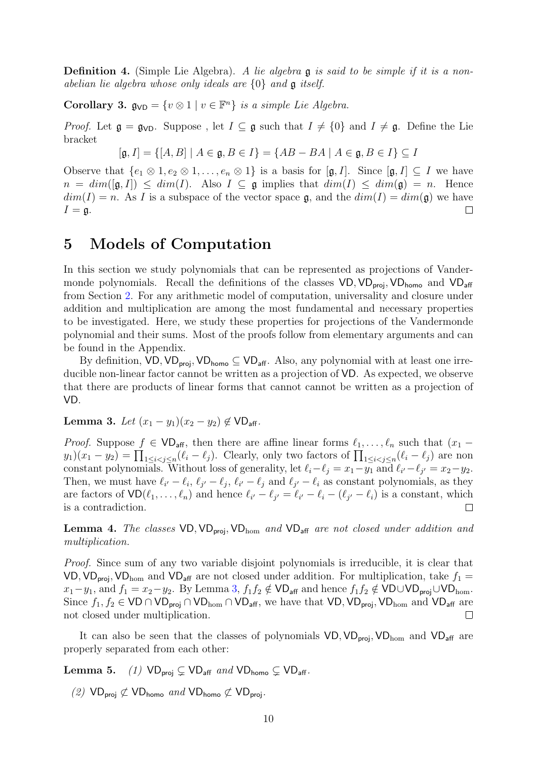**Definition 4.** (Simple Lie Algebra). A lie algebra **g** is said to be simple if it is a nonabelian lie algebra whose only ideals are {0} and g itself.

Corollary 3.  $\mathfrak{g}_{\mathsf{VD}} = \{v \otimes 1 \mid v \in \mathbb{F}^n\}$  is a simple Lie Algebra.

*Proof.* Let  $\mathfrak{g} = \mathfrak{g}_{\text{VD}}$ . Suppose, let  $I \subseteq \mathfrak{g}$  such that  $I \neq \{0\}$  and  $I \neq \mathfrak{g}$ . Define the Lie bracket

$$
[\mathfrak{g}, I] = \{ [A, B] \mid A \in \mathfrak{g}, B \in I \} = \{ AB - BA \mid A \in \mathfrak{g}, B \in I \} \subseteq I
$$

Observe that  $\{e_1 \otimes 1, e_2 \otimes 1, \ldots, e_n \otimes 1\}$  is a basis for  $[\mathfrak{g}, I]$ . Since  $[\mathfrak{g}, I] \subseteq I$  we have  $n = dim([\mathfrak{g}, I]) \le dim(I)$ . Also  $I \subseteq \mathfrak{g}$  implies that  $dim(I) \le dim(\mathfrak{g}) = n$ . Hence  $dim(I) = n$ . As I is a subspace of the vector space  $\mathfrak{g}$ , and the  $dim(I) = dim(\mathfrak{g})$  we have  $I = \mathfrak{g}$ .  $\Box$ 

#### <span id="page-9-0"></span>5 Models of Computation

In this section we study polynomials that can be represented as projections of Vandermonde polynomials. Recall the definitions of the classes  $VD, VD_{proj}, VD_{homo}$  and  $VD_{aff}$ from Section [2.](#page-2-0) For any arithmetic model of computation, universality and closure under addition and multiplication are among the most fundamental and necessary properties to be investigated. Here, we study these properties for projections of the Vandermonde polynomial and their sums. Most of the proofs follow from elementary arguments and can be found in the Appendix.

By definition,  $VD$ ,  $VD_{\text{proi}}$ ,  $VD_{\text{homo}} \subseteq VD_{\text{aff}}$ . Also, any polynomial with at least one irreducible non-linear factor cannot be written as a projection of VD. As expected, we observe that there are products of linear forms that cannot cannot be written as a projection of VD.

#### <span id="page-9-1"></span>Lemma 3. Let  $(x_1 - y_1)(x_2 - y_2) \notin \mathsf{VD}_{\mathsf{aff}}$ .

*Proof.* Suppose  $f \in \mathsf{VD}_{\mathsf{aff}}$ , then there are affine linear forms  $\ell_1, \ldots, \ell_n$  such that  $(x_1$  $y_1(x_1-y_2) = \prod_{1 \leq i < j \leq n} (\ell_i - \ell_j)$ . Clearly, only two factors of  $\prod_{1 \leq i < j \leq n} (\ell_i - \ell_j)$  are non constant polynomials. Without loss of generality, let  $\ell_i - \ell_j = x_1 - y_1$  and  $\ell_{i'} - \ell_{j'} = x_2 - y_2$ . Then, we must have  $\ell_{i'} - \ell_i$ ,  $\ell_{j'} - \ell_j$ ,  $\ell_{i'} - \ell_j$  and  $\ell_{j'} - \ell_i$  as constant polynomials, as they are factors of  $VD(\ell_1, \ldots, \ell_n)$  and hence  $\ell_{i'} - \ell_{j'} = \ell_{i'} - \ell_i - (\ell_{j'} - \ell_i)$  is a constant, which is a contradiction.

**Lemma 4.** The classes  $VD$ ,  $VD_{proj}$ ,  $VD_{hom}$  and  $VD_{aff}$  are not closed under addition and multiplication.

Proof. Since sum of any two variable disjoint polynomials is irreducible, it is clear that VD, VD<sub>proj</sub>, VD<sub>hom</sub> and VD<sub>aff</sub> are not closed under addition. For multiplication, take  $f_1 =$  $x_1-y_1$ , and  $f_1 = x_2-y_2$ . By Lemma [3,](#page-9-1)  $f_1f_2 \notin \mathsf{VD}_{\mathsf{aff}}$  and hence  $f_1f_2 \notin \mathsf{VD} \cup \mathsf{VD}_{\mathsf{proj}} \cup \mathsf{VD}_{\text{hom}}$ . Since  $f_1, f_2 \in \text{VD} \cap \text{VD}_{\text{proj}} \cap \text{VD}_{\text{hom}} \cap \text{VD}_{\text{aff}}$ , we have that  $\text{VD}, \text{VD}_{\text{proj}}, \text{VD}_{\text{hom}}$  and  $\text{VD}_{\text{aff}}$  are not closed under multiplication. not closed under multiplication.

It can also be seen that the classes of polynomials  $VD, VD_{\text{proi}}, VD_{\text{hom}}$  and  $VD_{\text{aff}}$  are properly separated from each other:

**Lemma 5.** (1)  $VD_{proj} \subsetneq VD_{aff}$  and  $VD_{homo} \subsetneq VD_{aff}$ .

(2)  $VD_{proj} \not\subset VD_{homo}$  and  $VD_{homo} \not\subset VD_{proj}$ .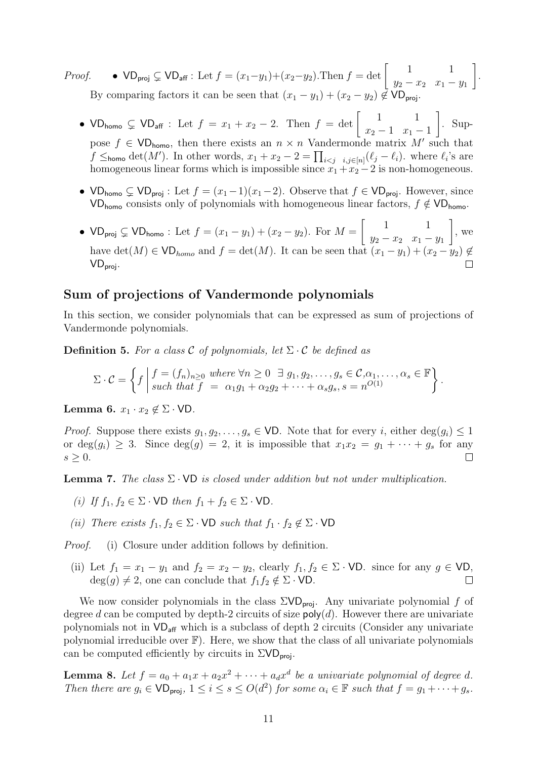*Proof.* •  $VD_{proj}$  ⊊  $VD_{aff}$ : Let  $f = (x_1-y_1)+(x_2-y_2)$ . Then  $f = det \begin{bmatrix} 1 & 1 \\ y_2 - x_2 & x_1 - y_2 \end{bmatrix}$  $y_2 - x_2$   $x_1 - y_1$ 1 By comparing factors it can be seen that  $(x_1 - y_1) + (x_2 - y_2) \notin \mathsf{VD}_{\text{proj}}$ 

.

- VD<sub>homo</sub>  $\subsetneq$  VD<sub>aff</sub> : Let  $f = x_1 + x_2 2$ . Then  $f = \det \begin{bmatrix} 1 & 1 \\ x_2 1 & x_1 \end{bmatrix}$  $x_2 - 1$   $x_1 - 1$ 1 . Suppose  $f \in \mathsf{VD}_{\mathsf{homo}}$ , then there exists an  $n \times n$  Vandermonde matrix  $M'$  such that  $f \leq_{\text{homo}} \det(M')$ . In other words,  $x_1 + x_2 - 2 = \prod_{i < j} i_{i,j \in [n]} (\ell_j - \ell_i)$ , where  $\ell_i$ 's are homogeneous linear forms which is impossible since  $x_1 + x_2 - 2$  is non-homogeneous.
- VD<sub>homo</sub>  $\subsetneq$  VD<sub>proj</sub>: Let  $f = (x_1-1)(x_1-2)$ . Observe that  $f \in \text{VD}_{\text{proj}}$ . However, since VD<sub>homo</sub> consists only of polynomials with homogeneous linear factors,  $f \notin \mathsf{VD}_{\mathsf{homo}}$ .
- VD<sub>proj</sub>  $\subsetneq$  VD<sub>homo</sub>: Let  $f = (x_1 y_1) + (x_2 y_2)$ . For  $M = \begin{bmatrix} 1 & 1 \\ y_2 x_2 & x_1 \end{bmatrix}$  $y_2 - x_2 \quad x_1 - y_1$ 1 , we have det(M) ∈ VD<sub>homo</sub> and  $f = det(M)$ . It can be seen that  $(x_1 - y_1)$  $VD_{proj.}$

#### Sum of projections of Vandermonde polynomials

In this section, we consider polynomials that can be expressed as sum of projections of Vandermonde polynomials.

**Definition 5.** For a class C of polynomials, let  $\Sigma \cdot C$  be defined as

$$
\Sigma \cdot C = \left\{ f \mid \begin{matrix} f = (f_n)_{n \geq 0} & \text{where } \forall n \geq 0 \ \ \exists \ g_1, g_2, \dots, g_s \in C, \alpha_1, \dots, \alpha_s \in \mathbb{F} \\ \text{such that } f = \alpha_1 g_1 + \alpha_2 g_2 + \dots + \alpha_s g_s, s = n^{O(1)} \end{matrix} \right\}.
$$

Lemma 6.  $x_1 \cdot x_2 \notin \Sigma \cdot \text{VD}.$ 

*Proof.* Suppose there exists  $g_1, g_2, \ldots, g_s \in \text{VD}$ . Note that for every i, either  $\deg(g_i) \leq 1$ or deg $(g_i) \geq 3$ . Since deg $(g) = 2$ , it is impossible that  $x_1x_2 = g_1 + \cdots + g_s$  for any  $s > 0$ .  $s \geq 0$ .

**Lemma 7.** The class  $\Sigma \cdot \mathsf{VD}$  is closed under addition but not under multiplication.

- (i) If  $f_1, f_2 \in \Sigma \cdot \text{VD}$  then  $f_1 + f_2 \in \Sigma \cdot \text{VD}$ .
- (ii) There exists  $f_1, f_2 \in \Sigma \cdot \text{VD}$  such that  $f_1 \cdot f_2 \notin \Sigma \cdot \text{VD}$

Proof. (i) Closure under addition follows by definition.

(ii) Let  $f_1 = x_1 - y_1$  and  $f_2 = x_2 - y_2$ , clearly  $f_1, f_2 \in \Sigma \cdot \text{VD}$ . since for any  $g \in \text{VD}$ ,  $\text{deg}(g) \neq 2$ , one can conclude that  $f_1 f_2 \notin \Sigma \cdot \text{VD}$ .  $deg(g) \neq 2$ , one can conclude that  $f_1f_2 \notin \Sigma \cdot \text{VD}$ .

We now consider polynomials in the class  $\Sigma V D_{\text{proj}}$ . Any univariate polynomial f of degree d can be computed by depth-2 circuits of size  $\text{poly}(d)$ . However there are univariate polynomials not in  $VD_{\text{aff}}$  which is a subclass of depth 2 circuits (Consider any univariate polynomial irreducible over  $\mathbb{F}$ ). Here, we show that the class of all univariate polynomials can be computed efficiently by circuits in  $\Sigma VD_{\text{proj}}$ .

<span id="page-10-0"></span>**Lemma 8.** Let  $f = a_0 + a_1x + a_2x^2 + \cdots + a_dx^d$  be a univariate polynomial of degree d. Then there are  $g_i \in \text{VD}_{\text{proj}}, 1 \leq i \leq s \leq O(d^2)$  for some  $\alpha_i \in \mathbb{F}$  such that  $f = g_1 + \cdots + g_s$ .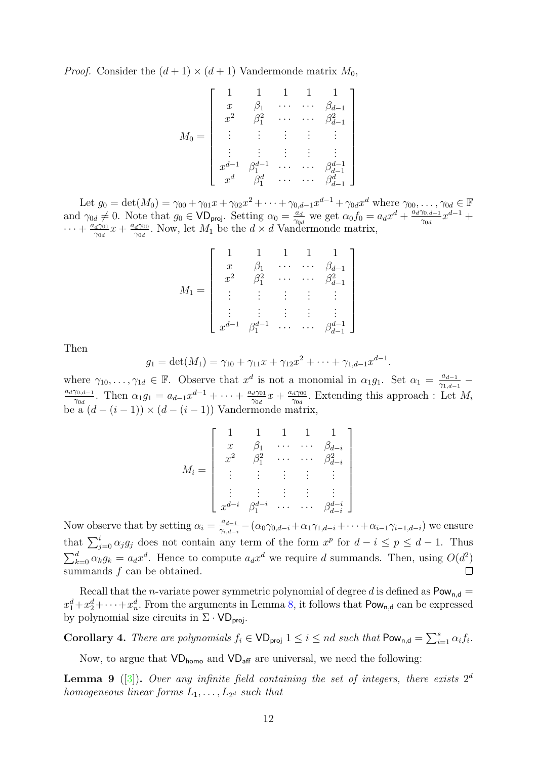*Proof.* Consider the  $(d+1) \times (d+1)$  Vandermonde matrix  $M_0$ ,

<span id="page-11-2"></span>
$$
M_0 = \left[\begin{array}{ccccc} 1 & 1 & 1 & 1 & 1 \\ x & \beta_1 & \cdots & \cdots & \beta_{d-1} \\ x^2 & \beta_1^2 & \cdots & \cdots & \beta_{d-1}^2 \\ \vdots & \vdots & \vdots & \vdots & \vdots \\ x^{d-1} & \beta_1^{d-1} & \cdots & \cdots & \beta_{d-1}^{d-1} \\ x^d & \beta_1^d & \cdots & \cdots & \beta_{d-1}^{d} \end{array}\right]
$$

Let  $g_0 = \det(M_0) = \gamma_{00} + \gamma_{01}x + \gamma_{02}x^2 + \cdots + \gamma_{0,d-1}x^{d-1} + \gamma_{0d}x^d$  where  $\gamma_{00}, \ldots, \gamma_{0d} \in \mathbb{F}$ and  $\gamma_{0d} \neq 0$ . Note that  $g_0 \in \mathsf{VD}_{\mathsf{proj}}$ . Setting  $\alpha_0 = \frac{a_d}{\gamma_{0d}}$  $\frac{a_d}{\gamma_{0d}}$  we get  $\alpha_0 f_0 = a_d x^d + \frac{a_d \gamma_{0,d-1}}{\gamma_{0d}}$  $\frac{\gamma_{0,d-1}}{\gamma_{0d}}x^{d-1} +$  $\cdots + \frac{a_d \gamma_{01}}{\gamma_{0d}}$  $\frac{d\gamma_{01}}{\gamma_{0d}}x + \frac{a_d\gamma_{00}}{\gamma_{0d}}$  $\frac{d^{2000}}{d^{200}}$ . Now, let  $M_1$  be the  $d \times d$  Vandermonde matrix,

$$
M_1 = \left[ \begin{array}{ccccc} 1 & 1 & 1 & 1 & 1 \\ x & \beta_1 & \cdots & \cdots & \beta_{d-1} \\ x^2 & \beta_1^2 & \cdots & \cdots & \beta_{d-1}^2 \\ \vdots & \vdots & \vdots & \vdots & \vdots \\ x^{d-1} & \beta_1^{d-1} & \cdots & \cdots & \beta_{d-1}^{d-1} \end{array} \right]
$$

Then

$$
g_1 = \det(M_1) = \gamma_{10} + \gamma_{11}x + \gamma_{12}x^2 + \cdots + \gamma_{1,d-1}x^{d-1}.
$$

where  $\gamma_{10}, \ldots, \gamma_{1d} \in \mathbb{F}$ . Observe that  $x^d$  is not a monomial in  $\alpha_1 g_1$ . Set  $\alpha_1 = \frac{a_{d-1}}{\gamma_{1,d-1}}$ where  $\gamma_{10}, \ldots, \gamma_{1d} \in \mathbb{F}$ . Observe that  $x^*$  is not a monomial in  $\alpha_1 g_1$ . Set  $\alpha_1 = \frac{x^d - 1}{\gamma_{1,d-1}}$  $\frac{\gamma_{0,d-1}}{\gamma_{0d}}$ . Then  $\alpha_1 g_1 = a_{d-1} x^{d-1} + \cdots + \frac{a_d \gamma_{0d}}{\gamma_{0d}}$  $\frac{d\gamma_{01}}{\gamma_{0d}}x + \frac{a_d\gamma_{00}}{\gamma_{0d}}$  $\frac{d^{2000}}{d^{20d}}$ . Extending this approach : Let  $M_i$ be a  $(d - (i - 1)) \times (d - (i - 1))$  Vandermonde matrix,

$$
M_i = \begin{bmatrix} 1 & 1 & 1 & 1 & 1 \\ x & \beta_1 & \cdots & \cdots & \beta_{d-i} \\ x^2 & \beta_1^2 & \cdots & \cdots & \beta_{d-i}^2 \\ \vdots & \vdots & \vdots & \vdots & \vdots \\ x^{d-i} & \beta_1^{d-i} & \cdots & \cdots & \beta_{d-i}^{d-i} \end{bmatrix}
$$

Now observe that by setting  $\alpha_i = \frac{a_{d-i}}{2a}$  $\frac{a_{d-i}}{\gamma_{i,d-i}} - (\alpha_0 \gamma_{0,d-i} + \alpha_1 \gamma_{1,d-i} + \cdots + \alpha_{i-1} \gamma_{i-1,d-i})$  we ensure that  $\sum_{j=0}^{i} \alpha_j g_j$  does not contain any term of the form  $x^p$  for  $d-i \leq p \leq d-1$ . Thus  $\sum_{k=0}^{d} \alpha_k g_k = a_d x^d$ . Hence to compute  $a_d x^d$  we require d summands. Then, using  $O(d^2)$ summands  $f$  can be obtained.  $\Box$ 

Recall that the *n*-variate power symmetric polynomial of degree d is defined as  $Pow_{n,d}$  =  $x_1^d + x_2^d + \cdots + x_n^d$ . From the arguments in Lemma [8,](#page-10-0) it follows that  $\mathsf{Pow}_{n,d}$  can be expressed by polynomial size circuits in  $\Sigma \cdot \mathsf{VD}_{\mathsf{proj}}$ .

<span id="page-11-0"></span>**Corollary 4.** There are polynomials  $f_i \in \text{VD}_{\text{proj}} 1 \leq i \leq nd$  such that  $\text{Pow}_{n,d} = \sum_{i=1}^{s} \alpha_i f_i$ .

Now, to argue that  $VD_{\text{homo}}$  and  $VD_{\text{aff}}$  are universal, we need the following:

<span id="page-11-1"></span>**Lemma 9** ([\[3\]](#page-14-11)). Over any infinite field containing the set of integers, there exists  $2^d$ homogeneous linear forms  $L_1, \ldots, L_{2^d}$  such that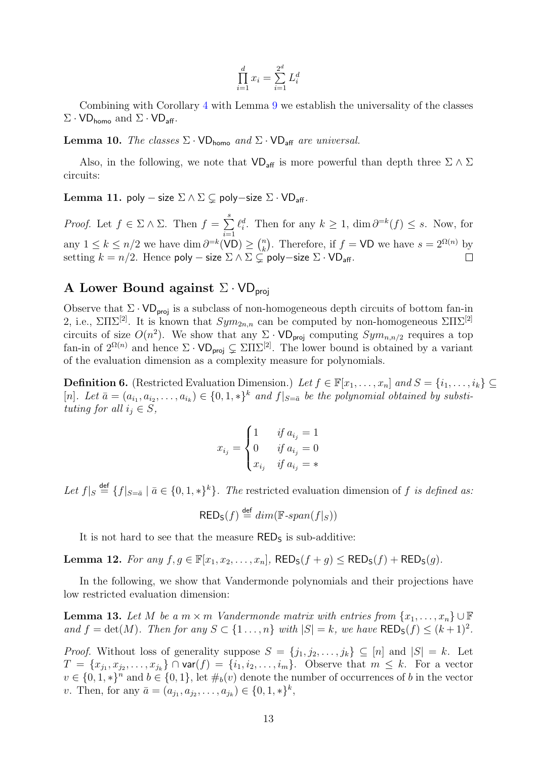$$
\prod_{i=1}^{d} x_i = \sum_{i=1}^{2^d} L_i^d
$$

Combining with Corollary [4](#page-11-0) with Lemma [9](#page-11-1) we establish the universality of the classes  $\Sigma \cdot \text{VD}_{\text{homo}}$  and  $\Sigma \cdot \text{VD}_{\text{aff}}$ .

**Lemma 10.** The classes  $\Sigma \cdot \text{VD}_{\text{homo}}$  and  $\Sigma \cdot \text{VD}_{\text{aff}}$  are universal.

Also, in the following, we note that  $VD_{\text{aff}}$  is more powerful than depth three  $\Sigma \wedge \Sigma$ circuits:

Lemma 11. poly – size  $\Sigma \wedge \Sigma \subsetneq$  poly–size  $\Sigma \cdot \text{VD}_{\text{aff}}$ .

*Proof.* Let  $f \in \Sigma \wedge \Sigma$ . Then  $f = \sum_{i=1}^{s}$  $\ell_i^d$ . Then for any  $k \geq 1$ ,  $\dim \partial^{=k}(f) \leq s$ . Now, for  $i=1$ any  $1 \leq k \leq n/2$  we have  $\dim \partial^{=k}(\text{VD}) \geq {n \choose k}$  $\binom{n}{k}$ . Therefore, if  $f = \text{VD}$  we have  $s = 2^{\Omega(n)}$  by setting  $k = n/2$ . Hence poly – size  $\Sigma \wedge \Sigma \subsetneq^{\infty}$  poly–size  $\Sigma \cdot \mathsf{VD}_{\mathsf{aff}}$ .  $\Box$ 

## A Lower Bound against  $\Sigma \cdot \text{VD}_{\text{proj}}$

Observe that  $\Sigma \cdot \text{VD}_{\text{proj}}$  is a subclass of non-homogeneous depth circuits of bottom fan-in 2, i.e.,  $\Sigma\Pi\Sigma^{[2]}$ . It is known that  $Sym_{2n,n}$  can be computed by non-homogeneous  $\Sigma\Pi\Sigma^{[2]}$ circuits of size  $O(n^2)$ . We show that any  $\Sigma \cdot \text{VD}_{\text{proj}}$  computing  $Sym_{n,n/2}$  requires a top fan-in of  $2^{\Omega(n)}$  and hence  $\Sigma \cdot \mathsf{VD}_{\textsf{proj}} \subsetneq \Sigma \Pi \Sigma^{[2]}$ . The lower bound is obtained by a variant of the evaluation dimension as a complexity measure for polynomials.

**Definition 6.** (Restricted Evaluation Dimension.) Let  $f \in \mathbb{F}[x_1, \ldots, x_n]$  and  $S = \{i_1, \ldots, i_k\} \subseteq$ [n]. Let  $\bar{a} = (a_{i_1}, a_{i_2}, \ldots, a_{i_k}) \in \{0, 1, *\}^k$  and  $f|_{S=\bar{a}}$  be the polynomial obtained by substituting for all  $i_j \in S$ ,

$$
x_{i_j} = \begin{cases} 1 & \text{if } a_{i_j} = 1 \\ 0 & \text{if } a_{i_j} = 0 \\ x_{i_j} & \text{if } a_{i_j} = * \end{cases}
$$

Let  $f|_S \stackrel{\text{def}}{=} \{f|_{S=\bar{a}} \mid \bar{a} \in \{0,1,*\}^k\}$ . The restricted evaluation dimension of f is defined as:

$$
\mathsf{RED}_{\mathsf{S}}(f) \stackrel{\mathsf{def}}{=} \dim(\mathbb{F}\text{-}\mathit{span}(f|_S))
$$

It is not hard to see that the measure  $RED<sub>S</sub>$  is sub-additive:

Lemma 12. For any  $f, g \in \mathbb{F}[x_1, x_2, \ldots, x_n]$ ,  $\mathsf{RED}_\mathsf{S}(f + g) \leq \mathsf{RED}_\mathsf{S}(f) + \mathsf{RED}_\mathsf{S}(g)$ .

In the following, we show that Vandermonde polynomials and their projections have low restricted evaluation dimension:

<span id="page-12-0"></span>**Lemma 13.** Let M be a  $m \times m$  Vandermonde matrix with entries from  $\{x_1, \ldots, x_n\} \cup \mathbb{F}$ and  $f = \det(M)$ . Then for any  $S \subset \{1 \ldots, n\}$  with  $|S| = k$ , we have  $\mathsf{REDs}(f) \leq (k+1)^2$ .

*Proof.* Without loss of generality suppose  $S = \{j_1, j_2, \ldots, j_k\} \subseteq [n]$  and  $|S| = k$ . Let  $T = \{x_{j_1}, x_{j_2}, \ldots, x_{j_k}\}$   $\cap$  var $(f) = \{i_1, i_2, \ldots, i_m\}$ . Observe that  $m \leq k$ . For a vector  $v \in \{0, 1, *\}^n$  and  $b \in \{0, 1\}$ , let  $\#_b(v)$  denote the number of occurrences of b in the vector v. Then, for any  $\bar{a} = (a_{j_1}, a_{j_2}, \dots, a_{j_k}) \in \{0, 1, *\}^k$ ,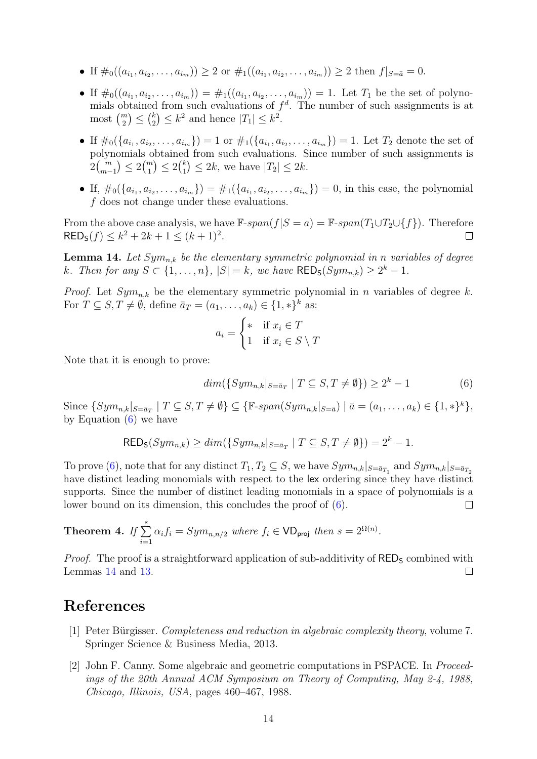- If  $\#_0((a_{i_1}, a_{i_2}, \ldots, a_{i_m})) \geq 2$  or  $\#_1((a_{i_1}, a_{i_2}, \ldots, a_{i_m})) \geq 2$  then  $f|_{S=\bar{a}}=0$ .
- If  $\#_0((a_{i_1}, a_{i_2},..., a_{i_m})) = \#_1((a_{i_1}, a_{i_2},..., a_{i_m})) = 1$ . Let  $T_1$  be the set of polynomials obtained from such evaluations of  $f<sup>d</sup>$ . The number of such assignments is at most  $\binom{m}{2} \leq \binom{k}{2}$  $\binom{k}{2} \leq k^2$  and hence  $|T_1| \leq k^2$ .
- If  $\#_0(\{a_{i_1}, a_{i_2}, \ldots, a_{i_m}\}) = 1$  or  $\#_1(\{a_{i_1}, a_{i_2}, \ldots, a_{i_m}\}) = 1$ . Let  $T_2$  denote the set of polynomials obtained from such evaluations. Since number of such assignments is  $2 {m \choose m-1} \leq 2 {m \choose 1} \leq 2 {k \choose 1}$  $\binom{k}{1} \leq 2k$ , we have  $|T_2| \leq 2k$ .
- If,  $\#_0(\{a_{i_1}, a_{i_2}, \ldots, a_{i_m}\}) = \#_1(\{a_{i_1}, a_{i_2}, \ldots, a_{i_m}\}) = 0$ , in this case, the polynomial f does not change under these evaluations.

From the above case analysis, we have  $\mathbb{F}\text{-}span(f|S=a) = \mathbb{F}\text{-}span(T_1\cup T_2\cup\{f\})$ . Therefore RED<sub>s</sub>(f)  $\leq k^2 + 2k + 1 \leq (k+1)^2$ .  $RED<sub>S</sub>(f) \leq k^2 + 2k + 1 \leq (k+1)^2$ .

<span id="page-13-2"></span>**Lemma 14.** Let  $Sym_{n,k}$  be the elementary symmetric polynomial in n variables of degree k. Then for any  $S \subset \{1, \ldots, n\}$ ,  $|S| = k$ , we have  $\mathsf{RED}_\mathsf{S}(Sym_{n,k}) \geq 2^k - 1$ .

*Proof.* Let  $Sym_{n,k}$  be the elementary symmetric polynomial in n variables of degree k. For  $T \subseteq S, T \neq \emptyset$ , define  $\bar{a}_T = (a_1, \ldots, a_k) \in \{1, *\}^k$  as:

$$
a_i = \begin{cases} * & \text{if } x_i \in T \\ 1 & \text{if } x_i \in S \setminus T \end{cases}
$$

Note that it is enough to prove:

$$
dim({\{Sym_{n,k}|_{S=\bar{a}_T} \mid T \subseteq S, T \neq \emptyset\}}) \ge 2^k - 1
$$
\n(6)

Since  $\{Sym_{n,k} |_{S=\bar{a}_T} \mid T \subseteq S, T \neq \emptyset\} \subseteq \{\mathbb{F}\text{-}span(Sym_{n,k} |_{S=\bar{a}}) \mid \bar{a}=(a_1,\ldots,a_k) \in \{1,*\}^k\},\$ by Equation [\(6\)](#page-11-2) we have

$$
\mathsf{RED}_{\mathsf{S}}(Sym_{n,k}) \ge \dim(\{Sym_{n,k} |_{S=\bar{a}_T} \mid T \subseteq S, T \neq \emptyset\}) = 2^k - 1.
$$

To prove [\(6\)](#page-11-2), note that for any distinct  $T_1, T_2 \subseteq S$ , we have  $Sym_{n,k}|_{S=\bar{a}_{T_1}}$  and  $Sym_{n,k}|_{S=\bar{a}_{T_2}}$ have distinct leading monomials with respect to the lex ordering since they have distinct supports. Since the number of distinct leading monomials in a space of polynomials is a lower bound on its dimension, this concludes the proof of [\(6\)](#page-11-2).  $\Box$ 

**Theorem 4.** If 
$$
\sum_{i=1}^{s} \alpha_i f_i = Sym_{n,n/2}
$$
 where  $f_i \in \text{VD}_{\text{proj}}$  then  $s = 2^{\Omega(n)}$ .

*Proof.* The proof is a straightforward application of sub-additivity of  $RED<sub>S</sub>$  combined with Lemmas [14](#page-13-2) and [13.](#page-12-0)  $\Box$ 

#### References

- <span id="page-13-0"></span>[1] Peter Bürgisser. *Completeness and reduction in algebraic complexity theory*, volume 7. Springer Science & Business Media, 2013.
- <span id="page-13-1"></span>[2] John F. Canny. Some algebraic and geometric computations in PSPACE. In Proceedings of the 20th Annual ACM Symposium on Theory of Computing, May 2-4, 1988, Chicago, Illinois, USA, pages 460–467, 1988.